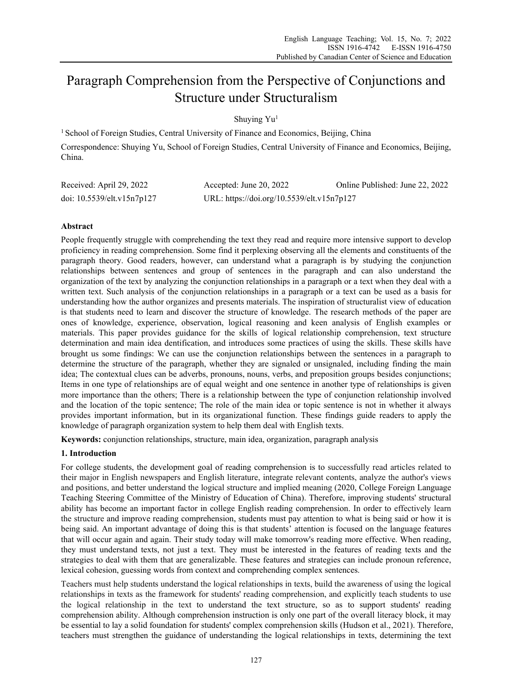# Paragraph Comprehension from the Perspective of Conjunctions and Structure under Structuralism

Shuying Yu<sup>1</sup>

<sup>1</sup> School of Foreign Studies, Central University of Finance and Economics, Beijing, China Correspondence: Shuying Yu, School of Foreign Studies, Central University of Finance and Economics, Beijing, China.

| Received: April 29, 2022   | Accepted: June 20, 2022                    | Online Published: June 22, 2022 |
|----------------------------|--------------------------------------------|---------------------------------|
| doi: 10.5539/elt.v15n7p127 | URL: https://doi.org/10.5539/elt.v15n7p127 |                                 |

# **Abstract**

People frequently struggle with comprehending the text they read and require more intensive support to develop proficiency in reading comprehension. Some find it perplexing observing all the elements and constituents of the paragraph theory. Good readers, however, can understand what a paragraph is by studying the conjunction relationships between sentences and group of sentences in the paragraph and can also understand the organization of the text by analyzing the conjunction relationships in a paragraph or a text when they deal with a written text. Such analysis of the conjunction relationships in a paragraph or a text can be used as a basis for understanding how the author organizes and presents materials. The inspiration of structuralist view of education is that students need to learn and discover the structure of knowledge. The research methods of the paper are ones of knowledge, experience, observation, logical reasoning and keen analysis of English examples or materials. This paper provides guidance for the skills of logical relationship comprehension, text structure determination and main idea dentification, and introduces some practices of using the skills. These skills have brought us some findings: We can use the conjunction relationships between the sentences in a paragraph to determine the structure of the paragraph, whether they are signaled or unsignaled, including finding the main idea; The contextual clues can be adverbs, pronouns, nouns, verbs, and preposition groups besides conjunctions; Items in one type of relationships are of equal weight and one sentence in another type of relationships is given more importance than the others; There is a relationship between the type of conjunction relationship involved and the location of the topic sentence; The role of the main idea or topic sentence is not in whether it always provides important information, but in its organizational function. These findings guide readers to apply the knowledge of paragraph organization system to help them deal with English texts.

**Keywords:** conjunction relationships, structure, main idea, organization, paragraph analysis

# **1. Introduction**

For college students, the development goal of reading comprehension is to successfully read articles related to their major in English newspapers and English literature, integrate relevant contents, analyze the author's views and positions, and better understand the logical structure and implied meaning (2020, College Foreign Language Teaching Steering Committee of the Ministry of Education of China). Therefore, improving students' structural ability has become an important factor in college English reading comprehension. In order to effectively learn the structure and improve reading comprehension, students must pay attention to what is being said or how it is being said. An important advantage of doing this is that students' attention is focused on the language features that will occur again and again. Their study today will make tomorrow's reading more effective. When reading, they must understand texts, not just a text. They must be interested in the features of reading texts and the strategies to deal with them that are generalizable. These features and strategies can include pronoun reference, lexical cohesion, guessing words from context and comprehending complex sentences.

Teachers must help students understand the logical relationships in texts, build the awareness of using the logical relationships in texts as the framework for students' reading comprehension, and explicitly teach students to use the logical relationship in the text to understand the text structure, so as to support students' reading comprehension ability. Although comprehension instruction is only one part of the overall literacy block, it may be essential to lay a solid foundation for students' complex comprehension skills (Hudson et al., 2021). Therefore, teachers must strengthen the guidance of understanding the logical relationships in texts, determining the text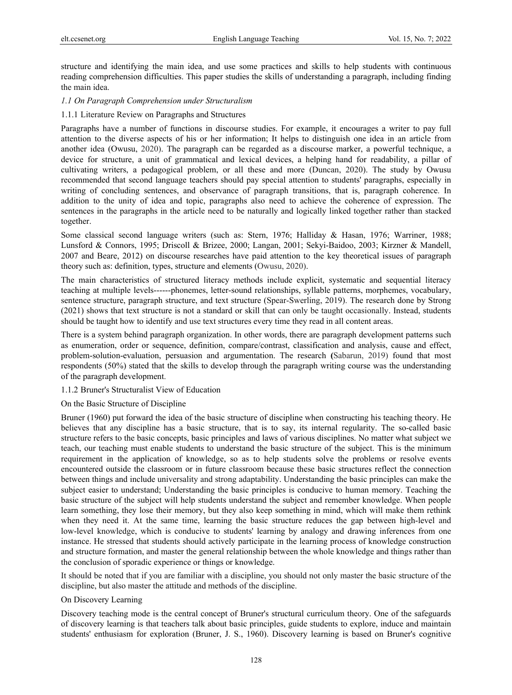structure and identifying the main idea, and use some practices and skills to help students with continuous reading comprehension difficulties. This paper studies the skills of understanding a paragraph, including finding the main idea.

# *1.1 On Paragraph Comprehension under Structuralism*

# 1.1.1 Literature Review on Paragraphs and Structures

Paragraphs have a number of functions in discourse studies. For example, it encourages a writer to pay full attention to the diverse aspects of his or her information; It helps to distinguish one idea in an article from another idea (Owusu, 2020). The paragraph can be regarded as a discourse marker, a powerful technique, a device for structure, a unit of grammatical and lexical devices, a helping hand for readability, a pillar of cultivating writers, a pedagogical problem, or all these and more (Duncan, 2020). The study by Owusu recommended that second language teachers should pay special attention to students' paragraphs, especially in writing of concluding sentences, and observance of paragraph transitions, that is, paragraph coherence. In addition to the unity of idea and topic, paragraphs also need to achieve the coherence of expression. The sentences in the paragraphs in the article need to be naturally and logically linked together rather than stacked together.

Some classical second language writers (such as: Stern, 1976; Halliday & Hasan, 1976; Warriner, 1988; Lunsford & Connors, 1995; Driscoll & Brizee, 2000; Langan, 2001; Sekyi-Baidoo, 2003; Kirzner & Mandell, 2007 and Beare, 2012) on discourse researches have paid attention to the key theoretical issues of paragraph theory such as: definition, types, structure and elements (Owusu, 2020).

The main characteristics of structured literacy methods include explicit, systematic and sequential literacy teaching at multiple levels------phonemes, letter-sound relationships, syllable patterns, morphemes, vocabulary, sentence structure, paragraph structure, and text structure (Spear-Swerling, 2019). The research done by Strong (2021) shows that text structure is not a standard or skill that can only be taught occasionally. Instead, students should be taught how to identify and use text structures every time they read in all content areas.

There is a system behind paragraph organization. In other words, there are paragraph development patterns such as enumeration, order or sequence, definition, compare/contrast, classification and analysis, cause and effect, problem-solution-evaluation, persuasion and argumentation. The research **(**Sabarun, 2019) found that most respondents (50%) stated that the skills to develop through the paragraph writing course was the understanding of the paragraph development.

## 1.1.2 Bruner's Structuralist View of Education

## On the Basic Structure of Discipline

Bruner (1960) put forward the idea of the basic structure of discipline when constructing his teaching theory. He believes that any discipline has a basic structure, that is to say, its internal regularity. The so-called basic structure refers to the basic concepts, basic principles and laws of various disciplines. No matter what subject we teach, our teaching must enable students to understand the basic structure of the subject. This is the minimum requirement in the application of knowledge, so as to help students solve the problems or resolve events encountered outside the classroom or in future classroom because these basic structures reflect the connection between things and include universality and strong adaptability. Understanding the basic principles can make the subject easier to understand; Understanding the basic principles is conducive to human memory. Teaching the basic structure of the subject will help students understand the subject and remember knowledge. When people learn something, they lose their memory, but they also keep something in mind, which will make them rethink when they need it. At the same time, learning the basic structure reduces the gap between high-level and low-level knowledge, which is conducive to students' learning by analogy and drawing inferences from one instance. He stressed that students should actively participate in the learning process of knowledge construction and structure formation, and master the general relationship between the whole knowledge and things rather than the conclusion of sporadic experience or things or knowledge.

It should be noted that if you are familiar with a discipline, you should not only master the basic structure of the discipline, but also master the attitude and methods of the discipline.

## On Discovery Learning

Discovery teaching mode is the central concept of Bruner's structural curriculum theory. One of the safeguards of discovery learning is that teachers talk about basic principles, guide students to explore, induce and maintain students' enthusiasm for exploration (Bruner, J. S., 1960). Discovery learning is based on Bruner's cognitive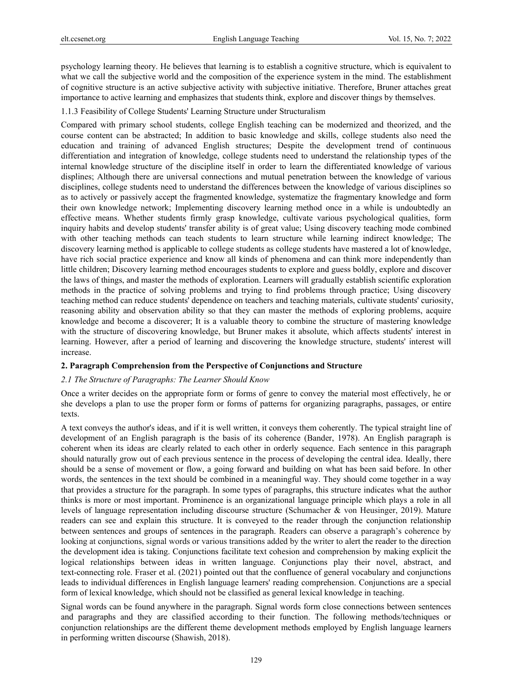psychology learning theory. He believes that learning is to establish a cognitive structure, which is equivalent to what we call the subjective world and the composition of the experience system in the mind. The establishment of cognitive structure is an active subjective activity with subjective initiative. Therefore, Bruner attaches great importance to active learning and emphasizes that students think, explore and discover things by themselves.

1.1.3 Feasibility of College Students' Learning Structure under Structuralism

Compared with primary school students, college English teaching can be modernized and theorized, and the course content can be abstracted; In addition to basic knowledge and skills, college students also need the education and training of advanced English structures; Despite the development trend of continuous differentiation and integration of knowledge, college students need to understand the relationship types of the internal knowledge structure of the discipline itself in order to learn the differentiated knowledge of various displines; Although there are universal connections and mutual penetration between the knowledge of various disciplines, college students need to understand the differences between the knowledge of various disciplines so as to actively or passively accept the fragmented knowledge, systematize the fragmentary knowledge and form their own knowledge network; Implementing discovery learning method once in a while is undoubtedly an effective means. Whether students firmly grasp knowledge, cultivate various psychological qualities, form inquiry habits and develop students' transfer ability is of great value; Using discovery teaching mode combined with other teaching methods can teach students to learn structure while learning indirect knowledge; The discovery learning method is applicable to college students as college students have mastered a lot of knowledge, have rich social practice experience and know all kinds of phenomena and can think more independently than little children; Discovery learning method encourages students to explore and guess boldly, explore and discover the laws of things, and master the methods of exploration. Learners will gradually establish scientific exploration methods in the practice of solving problems and trying to find problems through practice; Using discovery teaching method can reduce students' dependence on teachers and teaching materials, cultivate students' curiosity, reasoning ability and observation ability so that they can master the methods of exploring problems, acquire knowledge and become a discoverer; It is a valuable theory to combine the structure of mastering knowledge with the structure of discovering knowledge, but Bruner makes it absolute, which affects students' interest in learning. However, after a period of learning and discovering the knowledge structure, students' interest will increase.

#### **2. Paragraph Comprehension from the Perspective of Conjunctions and Structure**

## *2.1 The Structure of Paragraphs: The Learner Should Know*

Once a writer decides on the appropriate form or forms of genre to convey the material most effectively, he or she develops a plan to use the proper form or forms of patterns for organizing paragraphs, passages, or entire texts.

A text conveys the author's ideas, and if it is well written, it conveys them coherently. The typical straight line of development of an English paragraph is the basis of its coherence (Bander, 1978). An English paragraph is coherent when its ideas are clearly related to each other in orderly sequence. Each sentence in this paragraph should naturally grow out of each previous sentence in the process of developing the central idea. Ideally, there should be a sense of movement or flow, a going forward and building on what has been said before. In other words, the sentences in the text should be combined in a meaningful way. They should come together in a way that provides a structure for the paragraph. In some types of paragraphs, this structure indicates what the author thinks is more or most important. Prominence is an organizational language principle which plays a role in all levels of language representation including discourse structure (Schumacher & von Heusinger, 2019). Mature readers can see and explain this structure. It is conveyed to the reader through the conjunction relationship between sentences and groups of sentences in the paragraph. Readers can observe a paragraph's coherence by looking at conjunctions, signal words or various transitions added by the writer to alert the reader to the direction the development idea is taking. Conjunctions facilitate text cohesion and comprehension by making explicit the logical relationships between ideas in written language. Conjunctions play their novel, abstract, and text-connecting role. Fraser et al. (2021) pointed out that the confluence of general vocabulary and conjunctions leads to individual differences in English language learners' reading comprehension. Conjunctions are a special form of lexical knowledge, which should not be classified as general lexical knowledge in teaching.

Signal words can be found anywhere in the paragraph. Signal words form close connections between sentences and paragraphs and they are classified according to their function. The following methods/techniques or conjunction relationships are the different theme development methods employed by English language learners in performing written discourse (Shawish, 2018).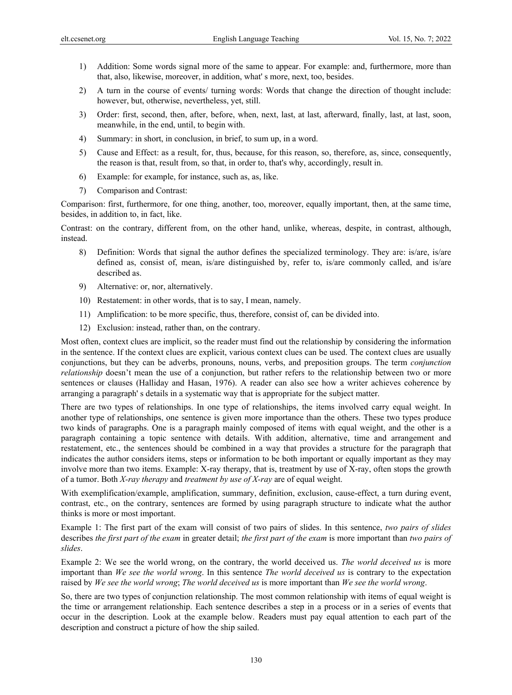- 1) Addition: Some words signal more of the same to appear. For example: and, furthermore, more than that, also, likewise, moreover, in addition, what' s more, next, too, besides.
- 2) A turn in the course of events/ turning words: Words that change the direction of thought include: however, but, otherwise, nevertheless, yet, still.
- 3) Order: first, second, then, after, before, when, next, last, at last, afterward, finally, last, at last, soon, meanwhile, in the end, until, to begin with.
- 4) Summary: in short, in conclusion, in brief, to sum up, in a word.
- 5) Cause and Effect: as a result, for, thus, because, for this reason, so, therefore, as, since, consequently, the reason is that, result from, so that, in order to, that's why, accordingly, result in.
- 6) Example: for example, for instance, such as, as, like.
- 7) Comparison and Contrast:

Comparison: first, furthermore, for one thing, another, too, moreover, equally important, then, at the same time, besides, in addition to, in fact, like.

Contrast: on the contrary, different from, on the other hand, unlike, whereas, despite, in contrast, although, instead.

- 8) Definition: Words that signal the author defines the specialized terminology. They are: is/are, is/are defined as, consist of, mean, is/are distinguished by, refer to, is/are commonly called, and is/are described as.
- 9) Alternative: or, nor, alternatively.
- 10) Restatement: in other words, that is to say, I mean, namely.
- 11) Amplification: to be more specific, thus, therefore, consist of, can be divided into.
- 12) Exclusion: instead, rather than, on the contrary.

Most often, context clues are implicit, so the reader must find out the relationship by considering the information in the sentence. If the context clues are explicit, various context clues can be used. The context clues are usually conjunctions, but they can be adverbs, pronouns, nouns, verbs, and preposition groups. The term *conjunction relationship* doesn't mean the use of a conjunction, but rather refers to the relationship between two or more sentences or clauses (Halliday and Hasan, 1976). A reader can also see how a writer achieves coherence by arranging a paragraph' s details in a systematic way that is appropriate for the subject matter.

There are two types of relationships. In one type of relationships, the items involved carry equal weight. In another type of relationships, one sentence is given more importance than the others. These two types produce two kinds of paragraphs. One is a paragraph mainly composed of items with equal weight, and the other is a paragraph containing a topic sentence with details. With addition, alternative, time and arrangement and restatement, etc., the sentences should be combined in a way that provides a structure for the paragraph that indicates the author considers items, steps or information to be both important or equally important as they may involve more than two items. Example: X-ray therapy, that is, treatment by use of X-ray, often stops the growth of a tumor. Both *X-ray therapy* and *treatment by use of X-ray* are of equal weight.

With exemplification/example, amplification, summary, definition, exclusion, cause-effect, a turn during event, contrast, etc., on the contrary, sentences are formed by using paragraph structure to indicate what the author thinks is more or most important.

Example 1: The first part of the exam will consist of two pairs of slides. In this sentence, *two pairs of slides* describes *the first part of the exam* in greater detail; *the first part of the exam* is more important than *two pairs of slides*.

Example 2: We see the world wrong, on the contrary, the world deceived us. *The world deceived us* is more important than *We see the world wrong*. In this sentence *The world deceived us* is contrary to the expectation raised by *We see the world wrong*; *The world deceived us* is more important than *We see the world wrong*.

So, there are two types of conjunction relationship. The most common relationship with items of equal weight is the time or arrangement relationship. Each sentence describes a step in a process or in a series of events that occur in the description. Look at the example below. Readers must pay equal attention to each part of the description and construct a picture of how the ship sailed.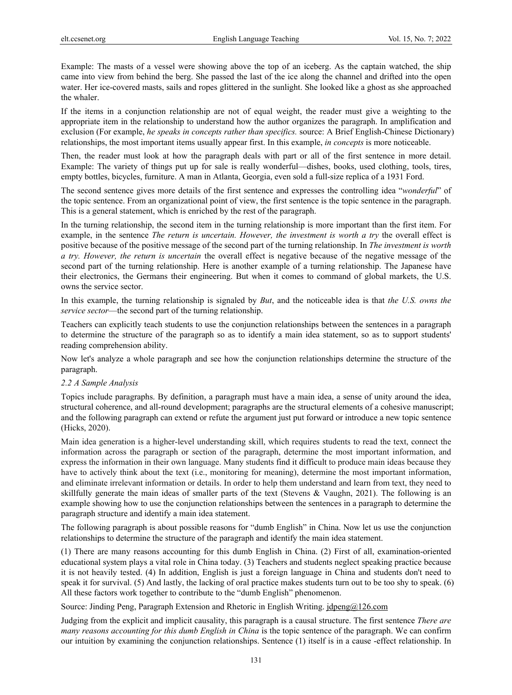Example: The masts of a vessel were showing above the top of an iceberg. As the captain watched, the ship came into view from behind the berg. She passed the last of the ice along the channel and drifted into the open water. Her ice-covered masts, sails and ropes glittered in the sunlight. She looked like a ghost as she approached the whaler.

If the items in a conjunction relationship are not of equal weight, the reader must give a weighting to the appropriate item in the relationship to understand how the author organizes the paragraph. In amplification and exclusion (For example, *he speaks in concepts rather than specifics.* source: A Brief English-Chinese Dictionary) relationships, the most important items usually appear first. In this example, *in concepts* is more noticeable.

Then, the reader must look at how the paragraph deals with part or all of the first sentence in more detail. Example: The variety of things put up for sale is really wonderful—dishes, books, used clothing, tools, tires, empty bottles, bicycles, furniture. A man in Atlanta, Georgia, even sold a full-size replica of a 1931 Ford.

The second sentence gives more details of the first sentence and expresses the controlling idea "*wonderful*" of the topic sentence. From an organizational point of view, the first sentence is the topic sentence in the paragraph. This is a general statement, which is enriched by the rest of the paragraph.

In the turning relationship, the second item in the turning relationship is more important than the first item. For example, in the sentence *The return is uncertain. However, the investment is worth a try* the overall effect is positive because of the positive message of the second part of the turning relationship. In *The investment is worth a try. However, the return is uncertain* the overall effect is negative because of the negative message of the second part of the turning relationship. Here is another example of a turning relationship. The Japanese have their electronics, the Germans their engineering. But when it comes to command of global markets, the U.S. owns the service sector.

In this example, the turning relationship is signaled by *But*, and the noticeable idea is that *the U.S. owns the service sector*—the second part of the turning relationship.

Teachers can explicitly teach students to use the conjunction relationships between the sentences in a paragraph to determine the structure of the paragraph so as to identify a main idea statement, so as to support students' reading comprehension ability.

Now let's analyze a whole paragraph and see how the conjunction relationships determine the structure of the paragraph.

## *2.2 A Sample Analysis*

Topics include paragraphs. By definition, a paragraph must have a main idea, a sense of unity around the idea, structural coherence, and all-round development; paragraphs are the structural elements of a cohesive manuscript; and the following paragraph can extend or refute the argument just put forward or introduce a new topic sentence (Hicks, 2020).

Main idea generation is a higher-level understanding skill, which requires students to read the text, connect the information across the paragraph or section of the paragraph, determine the most important information, and express the information in their own language. Many students find it difficult to produce main ideas because they have to actively think about the text (i.e., monitoring for meaning), determine the most important information, and eliminate irrelevant information or details. In order to help them understand and learn from text, they need to skillfully generate the main ideas of smaller parts of the text (Stevens & Vaughn, 2021). The following is an example showing how to use the conjunction relationships between the sentences in a paragraph to determine the paragraph structure and identify a main idea statement.

The following paragraph is about possible reasons for "dumb English" in China. Now let us use the conjunction relationships to determine the structure of the paragraph and identify the main idea statement.

(1) There are many reasons accounting for this dumb English in China. (2) First of all, examination-oriented educational system plays a vital role in China today. (3) Teachers and students neglect speaking practice because it is not heavily tested. (4) In addition, English is just a foreign language in China and students don't need to speak it for survival. (5) And lastly, the lacking of oral practice makes students turn out to be too shy to speak. (6) All these factors work together to contribute to the "dumb English" phenomenon.

Source: Jinding Peng, Paragraph Extension and Rhetoric in English Writing. jdpeng@126.com

Judging from the explicit and implicit causality, this paragraph is a causal structure. The first sentence *There are many reasons accounting for this dumb English in China* is the topic sentence of the paragraph. We can confirm our intuition by examining the conjunction relationships. Sentence (1) itself is in a cause -effect relationship. In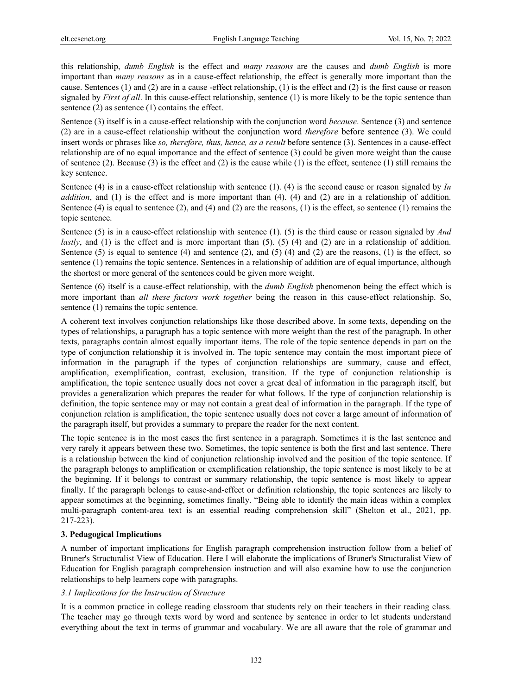this relationship, *dumb English* is the effect and *many reasons* are the causes and *dumb English* is more important than *many reasons* as in a cause-effect relationship, the effect is generally more important than the cause. Sentences (1) and (2) are in a cause -effect relationship, (1) is the effect and (2) is the first cause or reason signaled by *First of all*. In this cause-effect relationship, sentence (1) is more likely to be the topic sentence than sentence  $(2)$  as sentence  $(1)$  contains the effect.

Sentence (3) itself is in a cause-effect relationship with the conjunction word *because*. Sentence (3) and sentence (2) are in a cause-effect relationship without the conjunction word *therefore* before sentence (3). We could insert words or phrases like *so, therefore, thus, hence, as a result* before sentence (3). Sentences in a cause-effect relationship are of no equal importance and the effect of sentence (3) could be given more weight than the cause of sentence (2). Because (3) is the effect and (2) is the cause while (1) is the effect, sentence (1) still remains the key sentence.

Sentence (4) is in a cause-effect relationship with sentence (1). (4) is the second cause or reason signaled by *In addition*, and (1) is the effect and is more important than (4). (4) and (2) are in a relationship of addition. Sentence (4) is equal to sentence (2), and (4) and (2) are the reasons, (1) is the effect, so sentence (1) remains the topic sentence.

Sentence (5) is in a cause-effect relationship with sentence (1)*.* (5) is the third cause or reason signaled by *And lastly*, and (1) is the effect and is more important than (5). (5) (4) and (2) are in a relationship of addition. Sentence (5) is equal to sentence (4) and sentence (2), and (5) (4) and (2) are the reasons, (1) is the effect, so sentence (1) remains the topic sentence. Sentences in a relationship of addition are of equal importance, although the shortest or more general of the sentences could be given more weight.

Sentence (6) itself is a cause-effect relationship, with the *dumb English* phenomenon being the effect which is more important than *all these factors work together* being the reason in this cause-effect relationship. So, sentence (1) remains the topic sentence.

A coherent text involves conjunction relationships like those described above. In some texts, depending on the types of relationships, a paragraph has a topic sentence with more weight than the rest of the paragraph. In other texts, paragraphs contain almost equally important items. The role of the topic sentence depends in part on the type of conjunction relationship it is involved in. The topic sentence may contain the most important piece of information in the paragraph if the types of conjunction relationships are summary, cause and effect, amplification, exemplification, contrast, exclusion, transition. If the type of conjunction relationship is amplification, the topic sentence usually does not cover a great deal of information in the paragraph itself, but provides a generalization which prepares the reader for what follows. If the type of conjunction relationship is definition, the topic sentence may or may not contain a great deal of information in the paragraph. If the type of conjunction relation is amplification, the topic sentence usually does not cover a large amount of information of the paragraph itself, but provides a summary to prepare the reader for the next content.

The topic sentence is in the most cases the first sentence in a paragraph. Sometimes it is the last sentence and very rarely it appears between these two. Sometimes, the topic sentence is both the first and last sentence. There is a relationship between the kind of conjunction relationship involved and the position of the topic sentence. If the paragraph belongs to amplification or exemplification relationship, the topic sentence is most likely to be at the beginning. If it belongs to contrast or summary relationship, the topic sentence is most likely to appear finally. If the paragraph belongs to cause-and-effect or definition relationship, the topic sentences are likely to appear sometimes at the beginning, sometimes finally. "Being able to identify the main ideas within a complex multi-paragraph content-area text is an essential reading comprehension skill" (Shelton et al., 2021, pp. 217-223).

## **3. Pedagogical Implications**

A number of important implications for English paragraph comprehension instruction follow from a belief of Bruner's Structuralist View of Education. Here I will elaborate the implications of Bruner's Structuralist View of Education for English paragraph comprehension instruction and will also examine how to use the conjunction relationships to help learners cope with paragraphs.

## *3.1 Implications for the Instruction of Structure*

It is a common practice in college reading classroom that students rely on their teachers in their reading class. The teacher may go through texts word by word and sentence by sentence in order to let students understand everything about the text in terms of grammar and vocabulary. We are all aware that the role of grammar and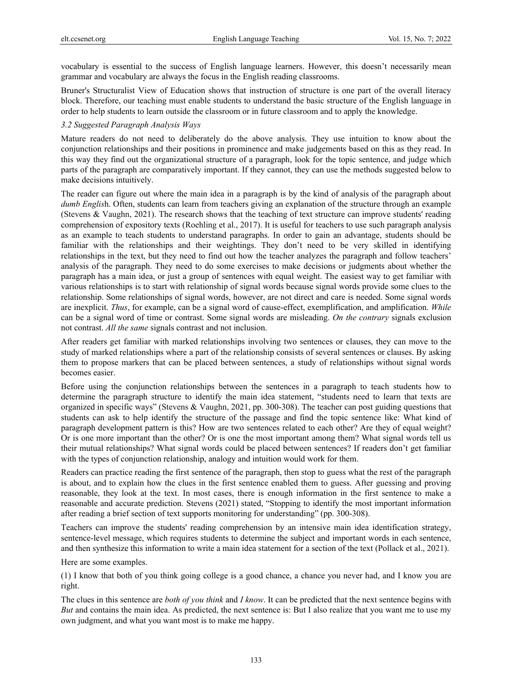vocabulary is essential to the success of English language learners. However, this doesn't necessarily mean grammar and vocabulary are always the focus in the English reading classrooms.

Bruner's Structuralist View of Education shows that instruction of structure is one part of the overall literacy block. Therefore, our teaching must enable students to understand the basic structure of the English language in order to help students to learn outside the classroom or in future classroom and to apply the knowledge.

#### *3.2 Suggested Paragraph Analysis Ways*

Mature readers do not need to deliberately do the above analysis. They use intuition to know about the conjunction relationships and their positions in prominence and make judgements based on this as they read. In this way they find out the organizational structure of a paragraph, look for the topic sentence, and judge which parts of the paragraph are comparatively important. If they cannot, they can use the methods suggested below to make decisions intuitively.

The reader can figure out where the main idea in a paragraph is by the kind of analysis of the paragraph about *dumb Englis*h. Often, students can learn from teachers giving an explanation of the structure through an example (Stevens & Vaughn, 2021). The research shows that the teaching of text structure can improve students' reading comprehension of expository texts (Roehling et al., 2017). It is useful for teachers to use such paragraph analysis as an example to teach students to understand paragraphs. In order to gain an advantage, students should be familiar with the relationships and their weightings. They don't need to be very skilled in identifying relationships in the text, but they need to find out how the teacher analyzes the paragraph and follow teachers' analysis of the paragraph. They need to do some exercises to make decisions or judgments about whether the paragraph has a main idea, or just a group of sentences with equal weight. The easiest way to get familiar with various relationships is to start with relationship of signal words because signal words provide some clues to the relationship. Some relationships of signal words, however, are not direct and care is needed. Some signal words are inexplicit. *Thus*, for example, can be a signal word of cause-effect, exemplification, and amplification. *While*  can be a signal word of time or contrast. Some signal words are misleading. *On the contrary* signals exclusion not contrast. *All the same* signals contrast and not inclusion.

After readers get familiar with marked relationships involving two sentences or clauses, they can move to the study of marked relationships where a part of the relationship consists of several sentences or clauses. By asking them to propose markers that can be placed between sentences, a study of relationships without signal words becomes easier.

Before using the conjunction relationships between the sentences in a paragraph to teach students how to determine the paragraph structure to identify the main idea statement, "students need to learn that texts are organized in specific ways" (Stevens & Vaughn, 2021, pp. 300-308). The teacher can post guiding questions that students can ask to help identify the structure of the passage and find the topic sentence like: What kind of paragraph development pattern is this? How are two sentences related to each other? Are they of equal weight? Or is one more important than the other? Or is one the most important among them? What signal words tell us their mutual relationships? What signal words could be placed between sentences? If readers don't get familiar with the types of conjunction relationship, analogy and intuition would work for them.

Readers can practice reading the first sentence of the paragraph, then stop to guess what the rest of the paragraph is about, and to explain how the clues in the first sentence enabled them to guess. After guessing and proving reasonable, they look at the text. In most cases, there is enough information in the first sentence to make a reasonable and accurate prediction. Stevens (2021) stated, "Stopping to identify the most important information after reading a brief section of text supports monitoring for understanding" (pp. 300-308).

Teachers can improve the students' reading comprehension by an intensive main idea identification strategy, sentence-level message, which requires students to determine the subject and important words in each sentence, and then synthesize this information to write a main idea statement for a section of the text (Pollack et al., 2021).

Here are some examples.

(1) I know that both of you think going college is a good chance, a chance you never had, and I know you are right.

The clues in this sentence are *both of you think* and *I know*. It can be predicted that the next sentence begins with *But* and contains the main idea. As predicted, the next sentence is: But I also realize that you want me to use my own judgment, and what you want most is to make me happy.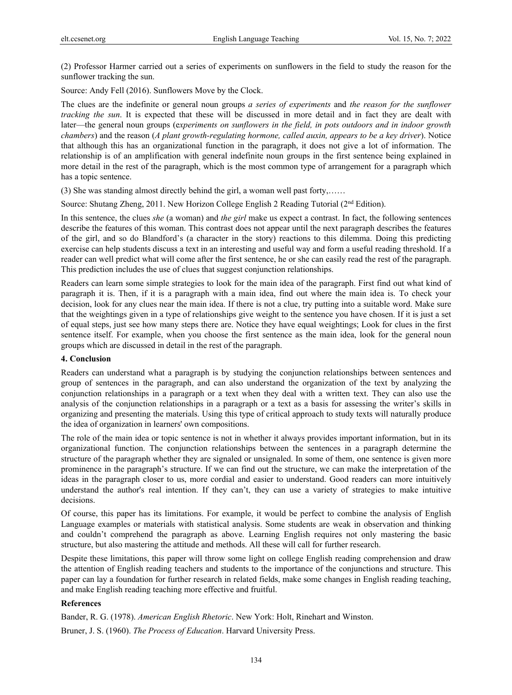(2) Professor Harmer carried out a series of experiments on sunflowers in the field to study the reason for the sunflower tracking the sun.

Source: Andy Fell (2016). Sunflowers Move by the Clock.

The clues are the indefinite or general noun groups *a series of experiments* and *the reason for the sunflower tracking the sun*. It is expected that these will be discussed in more detail and in fact they are dealt with later—the general noun groups (e*xperiments on sunflowers in the field, in pots outdoors and in indoor growth chambers*) and the reason (*A plant growth-regulating hormone, called auxin, appears to be a key driver*). Notice that although this has an organizational function in the paragraph, it does not give a lot of information. The relationship is of an amplification with general indefinite noun groups in the first sentence being explained in more detail in the rest of the paragraph, which is the most common type of arrangement for a paragraph which has a topic sentence.

(3) She was standing almost directly behind the girl, a woman well past forty,……

Source: Shutang Zheng, 2011. New Horizon College English 2 Reading Tutorial ( $2<sup>nd</sup>$  Edition).

In this sentence, the clues *she* (a woman) and *the girl* make us expect a contrast. In fact, the following sentences describe the features of this woman. This contrast does not appear until the next paragraph describes the features of the girl, and so do Blandford's (a character in the story) reactions to this dilemma. Doing this predicting exercise can help students discuss a text in an interesting and useful way and form a useful reading threshold. If a reader can well predict what will come after the first sentence, he or she can easily read the rest of the paragraph. This prediction includes the use of clues that suggest conjunction relationships.

Readers can learn some simple strategies to look for the main idea of the paragraph. First find out what kind of paragraph it is. Then, if it is a paragraph with a main idea, find out where the main idea is. To check your decision, look for any clues near the main idea. If there is not a clue, try putting into a suitable word. Make sure that the weightings given in a type of relationships give weight to the sentence you have chosen. If it is just a set of equal steps, just see how many steps there are. Notice they have equal weightings; Look for clues in the first sentence itself. For example, when you choose the first sentence as the main idea, look for the general noun groups which are discussed in detail in the rest of the paragraph.

#### **4. Conclusion**

Readers can understand what a paragraph is by studying the conjunction relationships between sentences and group of sentences in the paragraph, and can also understand the organization of the text by analyzing the conjunction relationships in a paragraph or a text when they deal with a written text. They can also use the analysis of the conjunction relationships in a paragraph or a text as a basis for assessing the writer's skills in organizing and presenting the materials. Using this type of critical approach to study texts will naturally produce the idea of organization in learners' own compositions.

The role of the main idea or topic sentence is not in whether it always provides important information, but in its organizational function. The conjunction relationships between the sentences in a paragraph determine the structure of the paragraph whether they are signaled or unsignaled. In some of them, one sentence is given more prominence in the paragraph's structure. If we can find out the structure, we can make the interpretation of the ideas in the paragraph closer to us, more cordial and easier to understand. Good readers can more intuitively understand the author's real intention. If they can't, they can use a variety of strategies to make intuitive decisions.

Of course, this paper has its limitations. For example, it would be perfect to combine the analysis of English Language examples or materials with statistical analysis. Some students are weak in observation and thinking and couldn't comprehend the paragraph as above. Learning English requires not only mastering the basic structure, but also mastering the attitude and methods. All these will call for further research.

Despite these limitations, this paper will throw some light on college English reading comprehension and draw the attention of English reading teachers and students to the importance of the conjunctions and structure. This paper can lay a foundation for further research in related fields, make some changes in English reading teaching, and make English reading teaching more effective and fruitful.

#### **References**

Bander, R. G. (1978). *American English Rhetoric*. New York: Holt, Rinehart and Winston.

Bruner, J. S. (1960). *The Process of Education*. Harvard University Press.